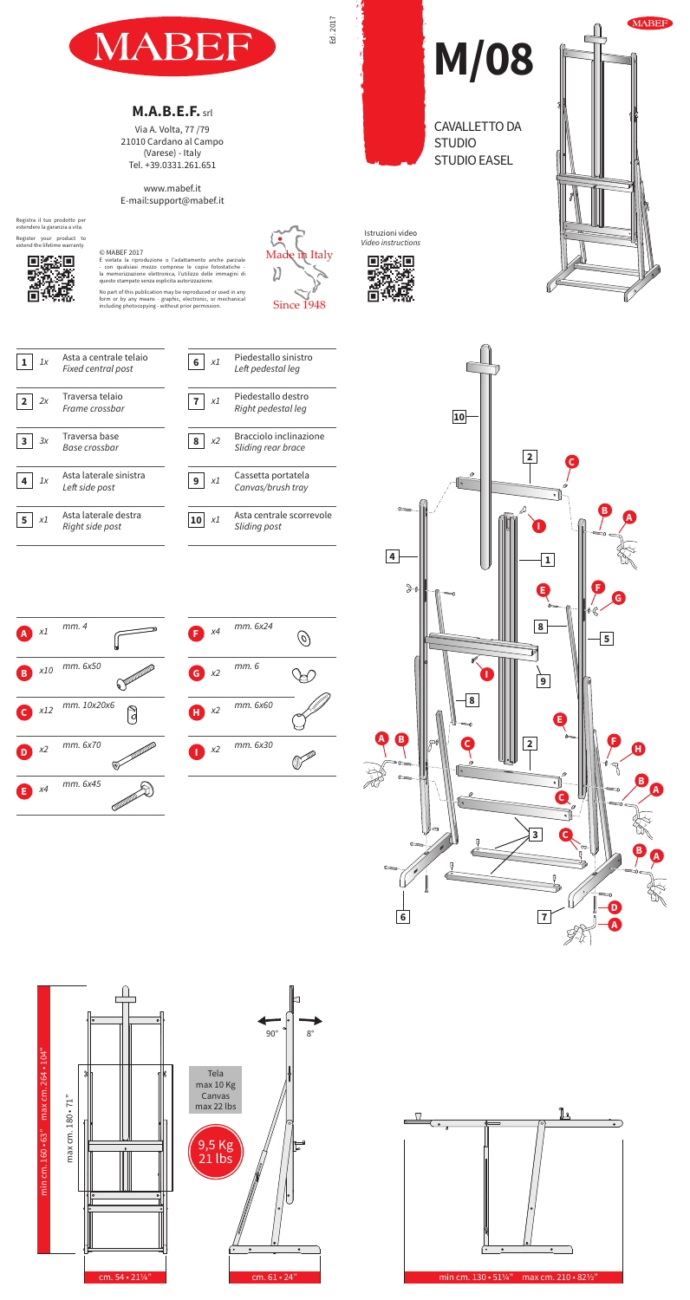*x1 mm. 4*

*x10 mm. 6x50*

*x12 mm. 10x20x6*



CAVALLETTO DA

STUDIO EASEL

**STUDIO** 





**M/08**

*2x* Traversa telaio

*Frame crossbar*

*3x* Traversa base *Base crossbar*

*Left side post*

*Right side post*



**1**

**4**



**2**

**3**

**A**

**B**

**C**

 $5 \mid x1$ 









## **M.A.B.E.F.** srl

Via A. Volta, 77 /79 21010 Cardano al Campo (Varese) - Italy Tel. +39.0331.261.651

## www.mabef.it E-mail:support@mabef.it

## © MABEF 2017



No part of this publication may be reproduced or used in any form or by any means - graphic, electronic, or mechanical including photocopying - without prior permission.







Registra il tuo prodotto per estendere la garanzia a vita.

Register your product to extend the lifetime warranty



## Istruzioni video *Video instructions*